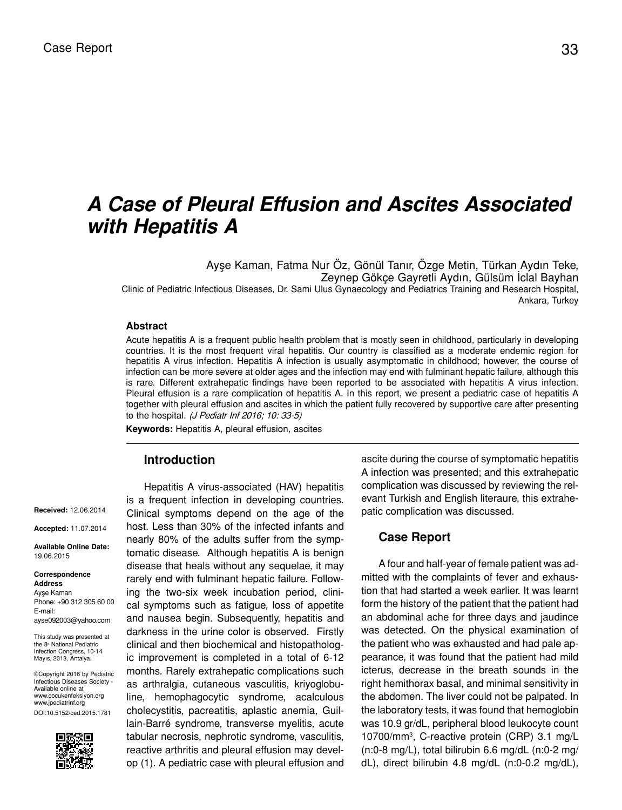# *A Case of Pleural Effusion and Ascites Associated with Hepatitis A*

Ayşe Kaman, Fatma Nur Öz, Gönül Tanır, Özge Metin, Türkan Aydın Teke, Zeynep Gökçe Gayretli Aydın, Gülsüm İclal Bayhan Clinic of Pediatric Infectious Diseases, Dr. Sami Ulus Gynaecology and Pediatrics Training and Research Hospital, Ankara, Turkey

### **Abstract**

Acute hepatitis A is a frequent public health problem that is mostly seen in childhood, particularly in developing countries. It is the most frequent viral hepatitis. Our country is classified as a moderate endemic region for hepatitis A virus infection. Hepatitis A infection is usually asymptomatic in childhood; however, the course of infection can be more severe at older ages and the infection may end with fulminant hepatic failure, although this is rare. Different extrahepatic findings have been reported to be associated with hepatitis A virus infection. Pleural effusion is a rare complication of hepatitis A. In this report, we present a pediatric case of hepatitis A together with pleural effusion and ascites in which the patient fully recovered by supportive care after presenting to the hospital. (J Pediatr Inf 2016; 10: 33-5)

**Keywords:** Hepatitis A, pleural effusion, ascites

## **Introduction**

#### **Received:** 12.06.2014

**Accepted:** 11.07.2014

**Available Online Date:**  19.06.2015

#### **Correspondence Address** Ayşe Kaman Phone: +90 312 305 60 00 E-mail:

ayse092003@yahoo.com

This study was presented at the 8<sup>th</sup> National Pediatric<br>Infection Congress, 10-14 Mayıs, 2013, Antalya.

©Copyright 2016 by Pediatric Infectious Diseases Society - Available online at www.cocukenfeksiyon.org www.jpediatrinf.org DOI:10.5152/ced.2015.1781



Hepatitis A virus-associated (HAV) hepatitis is a frequent infection in developing countries. Clinical symptoms depend on the age of the host. Less than 30% of the infected infants and nearly 80% of the adults suffer from the symptomatic disease. Although hepatitis A is benign disease that heals without any sequelae, it may rarely end with fulminant hepatic failure. Following the two-six week incubation period, clinical symptoms such as fatigue, loss of appetite and nausea begin. Subsequently, hepatitis and darkness in the urine color is observed. Firstly clinical and then biochemical and histopathologic improvement is completed in a total of 6-12 months. Rarely extrahepatic complications such as arthralgia, cutaneous vasculitis, kriyoglobuline, hemophagocytic syndrome, acalculous cholecystitis, pacreatitis, aplastic anemia, Guillain-Barré syndrome, transverse myelitis, acute tabular necrosis, nephrotic syndrome, vasculitis, reactive arthritis and pleural effusion may develop (1). A pediatric case with pleural effusion and ascite during the course of symptomatic hepatitis A infection was presented; and this extrahepatic complication was discussed by reviewing the relevant Turkish and English literaure, this extrahepatic complication was discussed.

## **Case Report**

A four and half-year of female patient was admitted with the complaints of fever and exhaustion that had started a week earlier. It was learnt form the history of the patient that the patient had an abdominal ache for three days and jaudince was detected. On the physical examination of the patient who was exhausted and had pale appearance, it was found that the patient had mild icterus, decrease in the breath sounds in the right hemithorax basal, and minimal sensitivity in the abdomen. The liver could not be palpated. In the laboratory tests, it was found that hemoglobin was 10.9 gr/dL, peripheral blood leukocyte count 10700/mm3 , C-reactive protein (CRP) 3.1 mg/L  $(n:0-8 \text{ mg/L})$ , total bilirubin 6.6 mg/dL  $(n:0-2 \text{ mg/M})$ dL), direct bilirubin 4.8 mg/dL (n:0-0.2 mg/dL),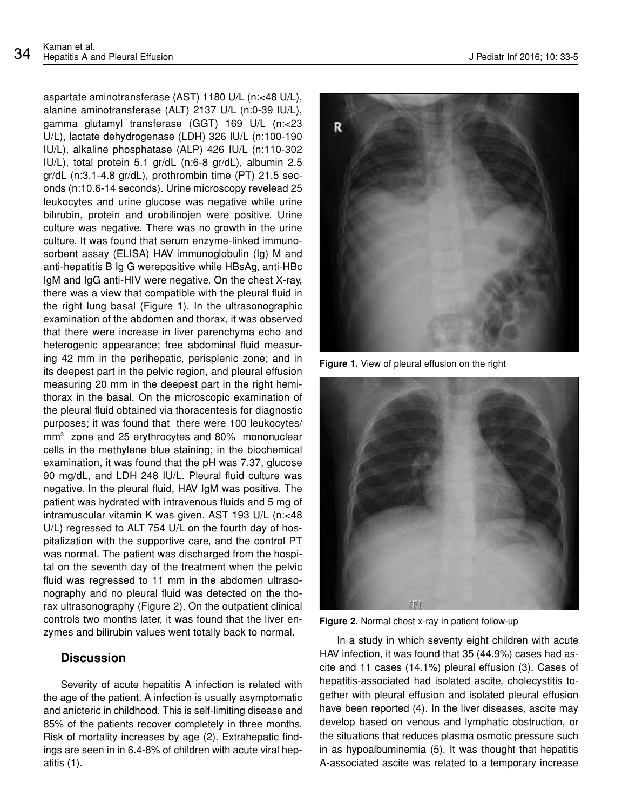aspartate aminotransferase (AST) 1180 U/L (n:<48 U/L), alanine aminotransferase (ALT) 2137 U/L (n:0-39 IU/L), gamma glutamyl transferase (GGT) 169 U/L (n:<23 U/L), lactate dehydrogenase (LDH) 326 IU/L (n:100-190 IU/L), alkaline phosphatase (ALP) 426 IU/L (n:110-302 IU/L), total protein 5.1 gr/dL (n:6-8 gr/dL), albumin 2.5 gr/dL (n:3.1-4.8 gr/dL), prothrombin time (PT) 21.5 seconds (n:10.6-14 seconds). Urine microscopy revelead 25 leukocytes and urine glucose was negative while urine bilırubin, protein and urobilinojen were positive. Urine culture was negative. There was no growth in the urine culture. It was found that serum enzyme-linked immunosorbent assay (ELISA) HAV immunoglobulin (Ig) M and anti-hepatitis B Ig G werepositive while HBsAg, anti-HBc IgM and IgG anti-HIV were negative. On the chest X-ray, there was a view that compatible with the pleural fluid in the right lung basal (Figure 1). In the ultrasonographic examination of the abdomen and thorax, it was observed that there were increase in liver parenchyma echo and heterogenic appearance; free abdominal fluid measuring 42 mm in the perihepatic, perisplenic zone; and in its deepest part in the pelvic region, and pleural effusion measuring 20 mm in the deepest part in the right hemithorax in the basal. On the microscopic examination of the pleural fluid obtained via thoracentesis for diagnostic purposes; it was found that there were 100 leukocytes/ mm3 zone and 25 erythrocytes and 80% mononuclear cells in the methylene blue staining; in the biochemical examination, it was found that the pH was 7.37, glucose 90 mg/dL, and LDH 248 IU/L. Pleural fluid culture was negative. In the pleural fluid, HAV IgM was positive. The patient was hydrated with intravenous fluids and 5 mg of intramuscular vitamin K was given. AST 193 U/L (n:<48 U/L) regressed to ALT 754 U/L on the fourth day of hospitalization with the supportive care, and the control PT was normal. The patient was discharged from the hospital on the seventh day of the treatment when the pelvic fluid was regressed to 11 mm in the abdomen ultrasonography and no pleural fluid was detected on the thorax ultrasonography (Figure 2). On the outpatient clinical controls two months later, it was found that the liver enzymes and bilirubin values went totally back to normal.

## **Discussion**

Severity of acute hepatitis A infection is related with the age of the patient. A infection is usually asymptomatic and anicteric in childhood. This is self-limiting disease and 85% of the patients recover completely in three months. Risk of mortality increases by age (2). Extrahepatic findings are seen in in 6.4-8% of children with acute viral hepatitis (1).

**Figure 1.** View of pleural effusion on the right



**Figure 2.** Normal chest x-ray in patient follow-up

In a study in which seventy eight children with acute HAV infection, it was found that 35 (44.9%) cases had ascite and 11 cases (14.1%) pleural effusion (3). Cases of hepatitis-associated had isolated ascite, cholecystitis together with pleural effusion and isolated pleural effusion have been reported (4). In the liver diseases, ascite may develop based on venous and lymphatic obstruction, or the situations that reduces plasma osmotic pressure such in as hypoalbuminemia (5). It was thought that hepatitis A-associated ascite was related to a temporary increase